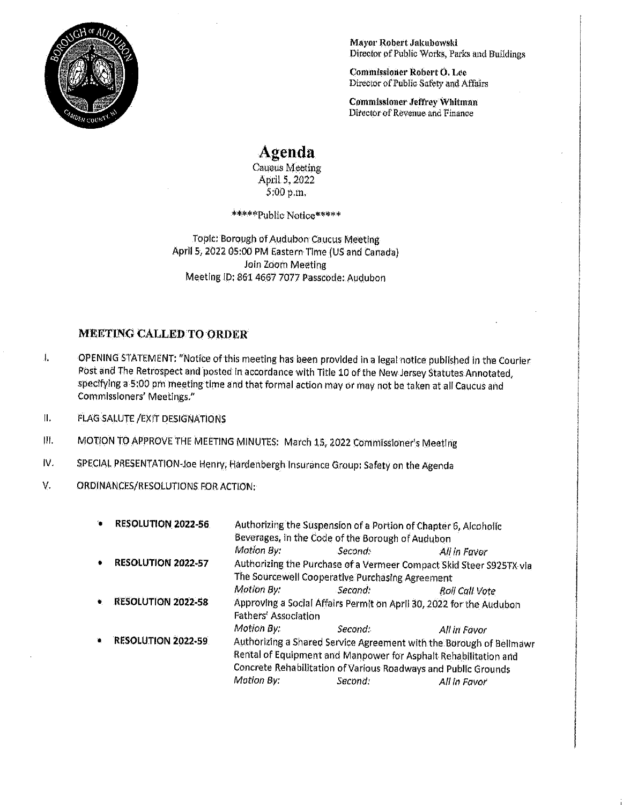

Mayor Robert Jakubowski Director of Public Works, Parks and Buildings

Commissioner Robert O. Lee Director of Public Safety and Affairs

Commissioner Jeffrey Whitman Director of Revenue and Finance

## Agenda

Caucus Meeting April 5, 2022 5:00 p.m.

\*\*\*\*\*Public Notice\*\*\*\*\*

Topic: Borough of Audubon Caucus Meeting April 5, 2022 05:00 PM Eastern Time (US and Canada) Join Zoom Meeting Meeting ID: 861 4667 7077 Passcode: Audubon

## MEETING CALLED TO ORDER

1. OPENING STATEMENT: "Notice ofthis meeting has been provided in <sup>a</sup> legal notice published in the Courier Post and The Retrospect and posted in accordance with Title 10 of the New Jersey Statutes Annotated, specifying a 5:00 pm meeting time and that formal action may or may not be taken at all Caucus and Commissioners' Meetings."

II. FLAG SALUTE /EXIT DESIGNATIONS

- Ill. MOTION TO APPROVE THE MEETING MINUTES: March 15, 2022 Commissioner's Meeting
- IV. SPECIAL PRESENTATION-Joe Henry, Hardenbergh Insurance Group: Safety on the Agenda
- V. ORDINANCES/RESOLUTIONS FOR ACTION:

| RESOLUTION 2022-56             | Authorizing the Suspension of a Portion of Chapter 6, Alcoholic<br>Beverages, in the Code of the Borough of Audubon                                                                                                      |            |                                                                                                        |
|--------------------------------|--------------------------------------------------------------------------------------------------------------------------------------------------------------------------------------------------------------------------|------------|--------------------------------------------------------------------------------------------------------|
|                                | Motion By:                                                                                                                                                                                                               | Second:    | All in Favor                                                                                           |
| <b>RESOLUTION 2022-57</b><br>۰ | Authorizing the Purchase of a Vermeer Compact Skid Steer S925TX via                                                                                                                                                      |            |                                                                                                        |
|                                | The Sourcewell Cooperative Purchasing Agreement                                                                                                                                                                          |            |                                                                                                        |
|                                | Motion By:                                                                                                                                                                                                               | Second:    | Roll Call Vote                                                                                         |
|                                |                                                                                                                                                                                                                          |            |                                                                                                        |
|                                | Motion By:                                                                                                                                                                                                               | Second:    | All in Favor                                                                                           |
| <b>RESOLUTION 2022-59</b>      | Authorizing a Shared Service Agreement with the Borough of Bellmawr<br>Rental of Equipment and Manpower for Asphalt Rehabilitation and<br>Concrete Rehabilitation of Various Roadways and Public Grounds<br>All in Favor |            |                                                                                                        |
|                                | <b>RESOLUTION 2022-58</b>                                                                                                                                                                                                | Motion By: | Approving a Social Affairs Permit on April 30, 2022 for the Audubon<br>Fathers' Association<br>Second: |